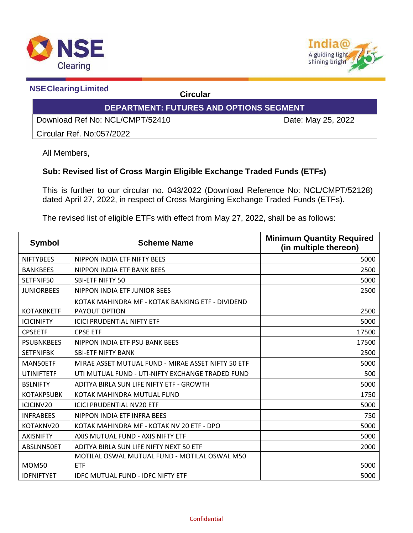



 **NSEClearingLimited Circular**

## **DEPARTMENT: FUTURES AND OPTIONS SEGMENT**

Download Ref No: NCL/CMPT/52410 Date: May 25, 2022

Circular Ref. No:057/2022

All Members,

## **Sub: Revised list of Cross Margin Eligible Exchange Traded Funds (ETFs)**

This is further to our circular no. 043/2022 (Download Reference No: NCL/CMPT/52128) dated April 27, 2022, in respect of Cross Margining Exchange Traded Funds (ETFs).

The revised list of eligible ETFs with effect from May 27, 2022, shall be as follows:

| <b>Symbol</b>     | <b>Scheme Name</b>                                                | <b>Minimum Quantity Required</b><br>(in multiple thereon) |
|-------------------|-------------------------------------------------------------------|-----------------------------------------------------------|
| <b>NIFTYBEES</b>  | NIPPON INDIA ETF NIFTY BEES                                       | 5000                                                      |
| <b>BANKBEES</b>   | NIPPON INDIA ETF BANK BEES                                        | 2500                                                      |
| SETFNIF50         | <b>SBI-ETF NIFTY 50</b>                                           | 5000                                                      |
| <b>JUNIORBEES</b> | NIPPON INDIA ETF JUNIOR BEES                                      | 2500                                                      |
| <b>KOTAKBKETF</b> | KOTAK MAHINDRA MF - KOTAK BANKING ETF - DIVIDEND<br>PAYOUT OPTION | 2500                                                      |
| <b>ICICINIFTY</b> | <b>ICICI PRUDENTIAL NIFTY ETF</b>                                 | 5000                                                      |
| <b>CPSEETF</b>    | <b>CPSE ETF</b>                                                   | 17500                                                     |
| <b>PSUBNKBEES</b> | NIPPON INDIA ETF PSU BANK BEES                                    | 17500                                                     |
| <b>SETFNIFBK</b>  | <b>SBI-ETF NIFTY BANK</b>                                         | 2500                                                      |
| MAN50ETF          | MIRAE ASSET MUTUAL FUND - MIRAE ASSET NIFTY 50 ETF                | 5000                                                      |
| <b>UTINIFTETF</b> | UTI MUTUAL FUND - UTI-NIFTY EXCHANGE TRADED FUND                  | 500                                                       |
| <b>BSLNIFTY</b>   | ADITYA BIRLA SUN LIFE NIFTY ETF - GROWTH                          | 5000                                                      |
| <b>KOTAKPSUBK</b> | KOTAK MAHINDRA MUTUAL FUND                                        | 1750                                                      |
| ICICINV20         | <b>ICICI PRUDENTIAL NV20 ETF</b>                                  | 5000                                                      |
| <b>INFRABEES</b>  | NIPPON INDIA ETF INFRA BEES                                       | 750                                                       |
| KOTAKNV20         | KOTAK MAHINDRA MF - KOTAK NV 20 ETF - DPO                         | 5000                                                      |
| <b>AXISNIFTY</b>  | AXIS MUTUAL FUND - AXIS NIFTY ETF                                 | 5000                                                      |
| ABSLNN50ET        | ADITYA BIRLA SUN LIFE NIFTY NEXT 50 ETF                           | 2000                                                      |
|                   | MOTILAL OSWAL MUTUAL FUND - MOTILAL OSWAL M50                     |                                                           |
| <b>MOM50</b>      | <b>ETF</b>                                                        | 5000                                                      |
| <b>IDFNIFTYET</b> | <b>IDFC MUTUAL FUND - IDFC NIFTY ETF</b>                          | 5000                                                      |